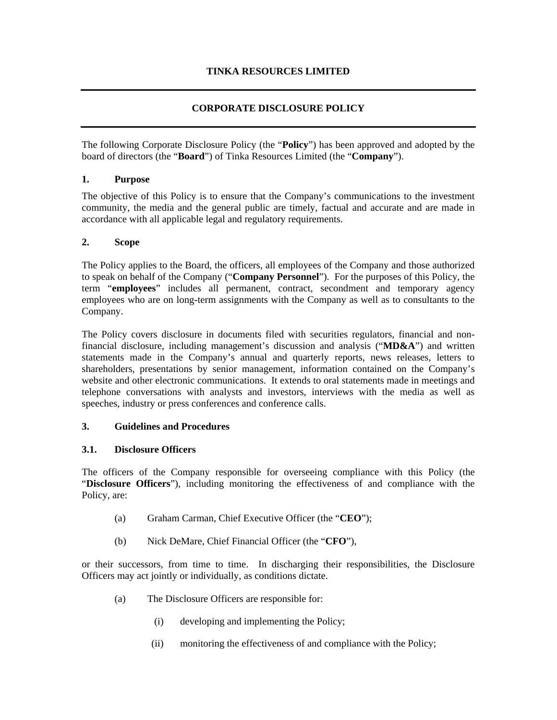## **CORPORATE DISCLOSURE POLICY**

The following Corporate Disclosure Policy (the "**Policy**") has been approved and adopted by the board of directors (the "**Board**") of Tinka Resources Limited (the "**Company**").

#### **1. Purpose**

The objective of this Policy is to ensure that the Company's communications to the investment community, the media and the general public are timely, factual and accurate and are made in accordance with all applicable legal and regulatory requirements.

#### **2. Scope**

The Policy applies to the Board, the officers, all employees of the Company and those authorized to speak on behalf of the Company ("**Company Personnel**"). For the purposes of this Policy, the term "**employees**" includes all permanent, contract, secondment and temporary agency employees who are on long-term assignments with the Company as well as to consultants to the Company.

The Policy covers disclosure in documents filed with securities regulators, financial and nonfinancial disclosure, including management's discussion and analysis ("**MD&A**") and written statements made in the Company's annual and quarterly reports, news releases, letters to shareholders, presentations by senior management, information contained on the Company's website and other electronic communications. It extends to oral statements made in meetings and telephone conversations with analysts and investors, interviews with the media as well as speeches, industry or press conferences and conference calls.

#### **3. Guidelines and Procedures**

### **3.1. Disclosure Officers**

The officers of the Company responsible for overseeing compliance with this Policy (the "**Disclosure Officers**"), including monitoring the effectiveness of and compliance with the Policy, are:

- (a) Graham Carman, Chief Executive Officer (the "**CEO**");
- (b) Nick DeMare, Chief Financial Officer (the "**CFO**"),

or their successors, from time to time. In discharging their responsibilities, the Disclosure Officers may act jointly or individually, as conditions dictate.

- (a) The Disclosure Officers are responsible for:
	- (i) developing and implementing the Policy;
	- (ii) monitoring the effectiveness of and compliance with the Policy;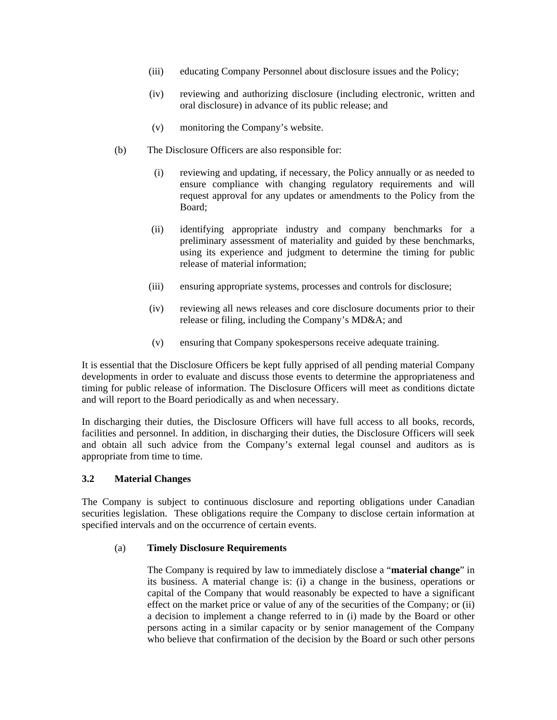- (iii) educating Company Personnel about disclosure issues and the Policy;
- (iv) reviewing and authorizing disclosure (including electronic, written and oral disclosure) in advance of its public release; and
- (v) monitoring the Company's website.
- (b) The Disclosure Officers are also responsible for:
	- (i) reviewing and updating, if necessary, the Policy annually or as needed to ensure compliance with changing regulatory requirements and will request approval for any updates or amendments to the Policy from the Board;
	- (ii) identifying appropriate industry and company benchmarks for a preliminary assessment of materiality and guided by these benchmarks, using its experience and judgment to determine the timing for public release of material information;
	- (iii) ensuring appropriate systems, processes and controls for disclosure;
	- (iv) reviewing all news releases and core disclosure documents prior to their release or filing, including the Company's MD&A; and
	- (v) ensuring that Company spokespersons receive adequate training.

It is essential that the Disclosure Officers be kept fully apprised of all pending material Company developments in order to evaluate and discuss those events to determine the appropriateness and timing for public release of information. The Disclosure Officers will meet as conditions dictate and will report to the Board periodically as and when necessary.

In discharging their duties, the Disclosure Officers will have full access to all books, records, facilities and personnel. In addition, in discharging their duties, the Disclosure Officers will seek and obtain all such advice from the Company's external legal counsel and auditors as is appropriate from time to time.

### **3.2 Material Changes**

The Company is subject to continuous disclosure and reporting obligations under Canadian securities legislation. These obligations require the Company to disclose certain information at specified intervals and on the occurrence of certain events.

#### (a) **Timely Disclosure Requirements**

The Company is required by law to immediately disclose a "**material change**" in its business. A material change is: (i) a change in the business, operations or capital of the Company that would reasonably be expected to have a significant effect on the market price or value of any of the securities of the Company; or (ii) a decision to implement a change referred to in (i) made by the Board or other persons acting in a similar capacity or by senior management of the Company who believe that confirmation of the decision by the Board or such other persons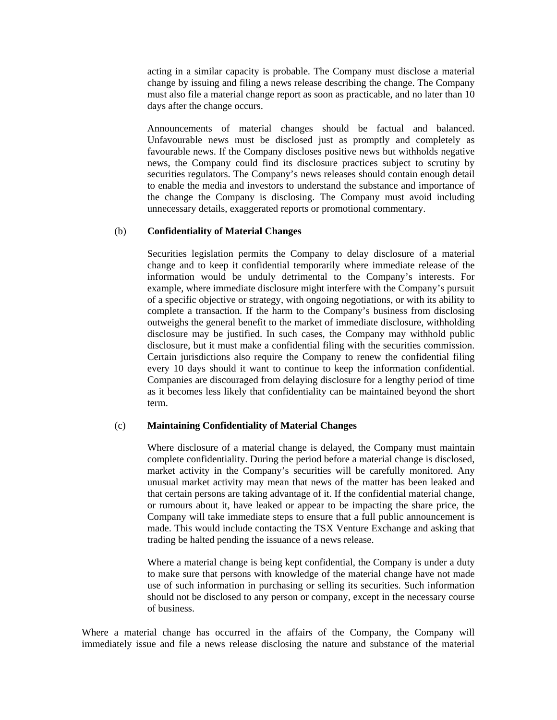acting in a similar capacity is probable. The Company must disclose a material change by issuing and filing a news release describing the change. The Company must also file a material change report as soon as practicable, and no later than 10 days after the change occurs.

Announcements of material changes should be factual and balanced. Unfavourable news must be disclosed just as promptly and completely as favourable news. If the Company discloses positive news but withholds negative news, the Company could find its disclosure practices subject to scrutiny by securities regulators. The Company's news releases should contain enough detail to enable the media and investors to understand the substance and importance of the change the Company is disclosing. The Company must avoid including unnecessary details, exaggerated reports or promotional commentary.

#### (b) **Confidentiality of Material Changes**

Securities legislation permits the Company to delay disclosure of a material change and to keep it confidential temporarily where immediate release of the information would be unduly detrimental to the Company's interests. For example, where immediate disclosure might interfere with the Company's pursuit of a specific objective or strategy, with ongoing negotiations, or with its ability to complete a transaction. If the harm to the Company's business from disclosing outweighs the general benefit to the market of immediate disclosure, withholding disclosure may be justified. In such cases, the Company may withhold public disclosure, but it must make a confidential filing with the securities commission. Certain jurisdictions also require the Company to renew the confidential filing every 10 days should it want to continue to keep the information confidential. Companies are discouraged from delaying disclosure for a lengthy period of time as it becomes less likely that confidentiality can be maintained beyond the short term.

#### (c) **Maintaining Confidentiality of Material Changes**

Where disclosure of a material change is delayed, the Company must maintain complete confidentiality. During the period before a material change is disclosed, market activity in the Company's securities will be carefully monitored. Any unusual market activity may mean that news of the matter has been leaked and that certain persons are taking advantage of it. If the confidential material change, or rumours about it, have leaked or appear to be impacting the share price, the Company will take immediate steps to ensure that a full public announcement is made. This would include contacting the TSX Venture Exchange and asking that trading be halted pending the issuance of a news release.

Where a material change is being kept confidential, the Company is under a duty to make sure that persons with knowledge of the material change have not made use of such information in purchasing or selling its securities. Such information should not be disclosed to any person or company, except in the necessary course of business.

Where a material change has occurred in the affairs of the Company, the Company will immediately issue and file a news release disclosing the nature and substance of the material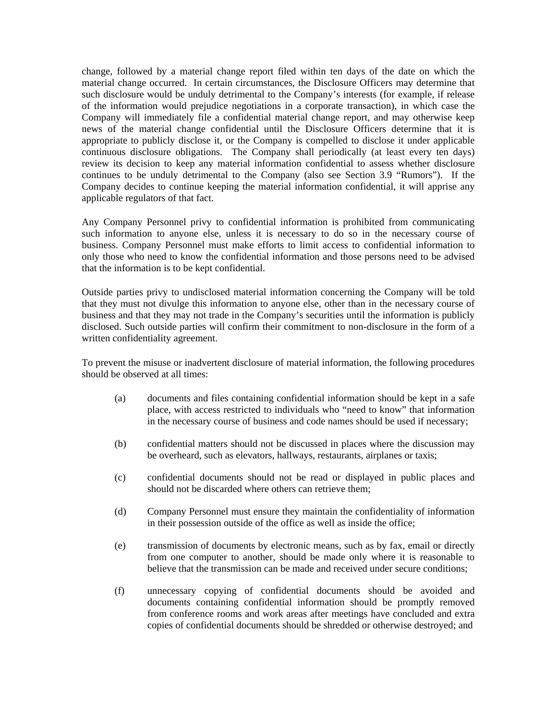change, followed by a material change report filed within ten days of the date on which the material change occurred. In certain circumstances, the Disclosure Officers may determine that such disclosure would be unduly detrimental to the Company's interests (for example, if release of the information would prejudice negotiations in a corporate transaction), in which case the Company will immediately file a confidential material change report, and may otherwise keep news of the material change confidential until the Disclosure Officers determine that it is appropriate to publicly disclose it, or the Company is compelled to disclose it under applicable continuous disclosure obligations. The Company shall periodically (at least every ten days) review its decision to keep any material information confidential to assess whether disclosure continues to be unduly detrimental to the Company (also see Section 3.9 "Rumors"). If the Company decides to continue keeping the material information confidential, it will apprise any applicable regulators of that fact.

Any Company Personnel privy to confidential information is prohibited from communicating such information to anyone else, unless it is necessary to do so in the necessary course of business. Company Personnel must make efforts to limit access to confidential information to only those who need to know the confidential information and those persons need to be advised that the information is to be kept confidential.

Outside parties privy to undisclosed material information concerning the Company will be told that they must not divulge this information to anyone else, other than in the necessary course of business and that they may not trade in the Company's securities until the information is publicly disclosed. Such outside parties will confirm their commitment to non-disclosure in the form of a written confidentiality agreement.

To prevent the misuse or inadvertent disclosure of material information, the following procedures should be observed at all times:

- (a) documents and files containing confidential information should be kept in a safe place, with access restricted to individuals who "need to know" that information in the necessary course of business and code names should be used if necessary;
- (b) confidential matters should not be discussed in places where the discussion may be overheard, such as elevators, hallways, restaurants, airplanes or taxis;
- (c) confidential documents should not be read or displayed in public places and should not be discarded where others can retrieve them;
- (d) Company Personnel must ensure they maintain the confidentiality of information in their possession outside of the office as well as inside the office;
- (e) transmission of documents by electronic means, such as by fax, email or directly from one computer to another, should be made only where it is reasonable to believe that the transmission can be made and received under secure conditions;
- (f) unnecessary copying of confidential documents should be avoided and documents containing confidential information should be promptly removed from conference rooms and work areas after meetings have concluded and extra copies of confidential documents should be shredded or otherwise destroyed; and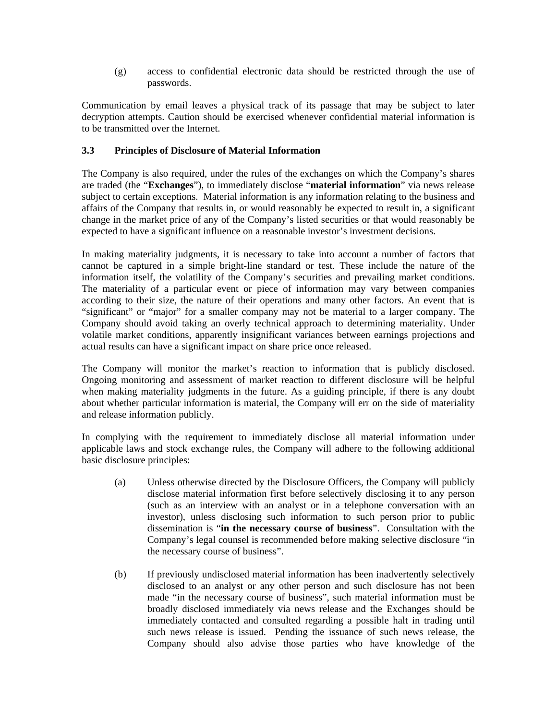(g) access to confidential electronic data should be restricted through the use of passwords.

Communication by email leaves a physical track of its passage that may be subject to later decryption attempts. Caution should be exercised whenever confidential material information is to be transmitted over the Internet.

## **3.3 Principles of Disclosure of Material Information**

The Company is also required, under the rules of the exchanges on which the Company's shares are traded (the "**Exchanges**"), to immediately disclose "**material information**" via news release subject to certain exceptions. Material information is any information relating to the business and affairs of the Company that results in, or would reasonably be expected to result in, a significant change in the market price of any of the Company's listed securities or that would reasonably be expected to have a significant influence on a reasonable investor's investment decisions.

In making materiality judgments, it is necessary to take into account a number of factors that cannot be captured in a simple bright-line standard or test. These include the nature of the information itself, the volatility of the Company's securities and prevailing market conditions. The materiality of a particular event or piece of information may vary between companies according to their size, the nature of their operations and many other factors. An event that is "significant" or "major" for a smaller company may not be material to a larger company. The Company should avoid taking an overly technical approach to determining materiality. Under volatile market conditions, apparently insignificant variances between earnings projections and actual results can have a significant impact on share price once released.

The Company will monitor the market's reaction to information that is publicly disclosed. Ongoing monitoring and assessment of market reaction to different disclosure will be helpful when making materiality judgments in the future. As a guiding principle, if there is any doubt about whether particular information is material, the Company will err on the side of materiality and release information publicly.

In complying with the requirement to immediately disclose all material information under applicable laws and stock exchange rules, the Company will adhere to the following additional basic disclosure principles:

- (a) Unless otherwise directed by the Disclosure Officers, the Company will publicly disclose material information first before selectively disclosing it to any person (such as an interview with an analyst or in a telephone conversation with an investor), unless disclosing such information to such person prior to public dissemination is "**in the necessary course of business**". Consultation with the Company's legal counsel is recommended before making selective disclosure "in the necessary course of business".
- (b) If previously undisclosed material information has been inadvertently selectively disclosed to an analyst or any other person and such disclosure has not been made "in the necessary course of business", such material information must be broadly disclosed immediately via news release and the Exchanges should be immediately contacted and consulted regarding a possible halt in trading until such news release is issued. Pending the issuance of such news release, the Company should also advise those parties who have knowledge of the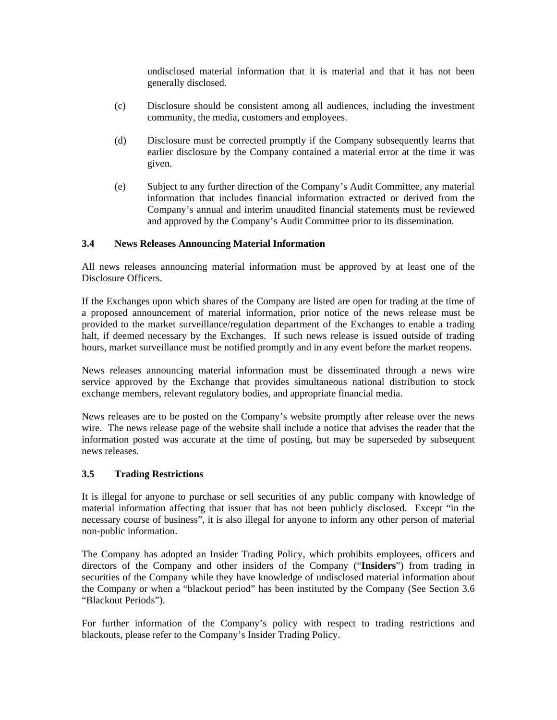undisclosed material information that it is material and that it has not been generally disclosed.

- (c) Disclosure should be consistent among all audiences, including the investment community, the media, customers and employees.
- (d) Disclosure must be corrected promptly if the Company subsequently learns that earlier disclosure by the Company contained a material error at the time it was given.
- (e) Subject to any further direction of the Company's Audit Committee, any material information that includes financial information extracted or derived from the Company's annual and interim unaudited financial statements must be reviewed and approved by the Company's Audit Committee prior to its dissemination.

### **3.4 News Releases Announcing Material Information**

All news releases announcing material information must be approved by at least one of the Disclosure Officers.

If the Exchanges upon which shares of the Company are listed are open for trading at the time of a proposed announcement of material information, prior notice of the news release must be provided to the market surveillance/regulation department of the Exchanges to enable a trading halt, if deemed necessary by the Exchanges. If such news release is issued outside of trading hours, market surveillance must be notified promptly and in any event before the market reopens.

News releases announcing material information must be disseminated through a news wire service approved by the Exchange that provides simultaneous national distribution to stock exchange members, relevant regulatory bodies, and appropriate financial media.

News releases are to be posted on the Company's website promptly after release over the news wire. The news release page of the website shall include a notice that advises the reader that the information posted was accurate at the time of posting, but may be superseded by subsequent news releases.

### **3.5 Trading Restrictions**

It is illegal for anyone to purchase or sell securities of any public company with knowledge of material information affecting that issuer that has not been publicly disclosed. Except "in the necessary course of business", it is also illegal for anyone to inform any other person of material non-public information.

The Company has adopted an Insider Trading Policy, which prohibits employees, officers and directors of the Company and other insiders of the Company ("**Insiders**") from trading in securities of the Company while they have knowledge of undisclosed material information about the Company or when a "blackout period" has been instituted by the Company (See Section 3.6 "Blackout Periods").

For further information of the Company's policy with respect to trading restrictions and blackouts, please refer to the Company's Insider Trading Policy.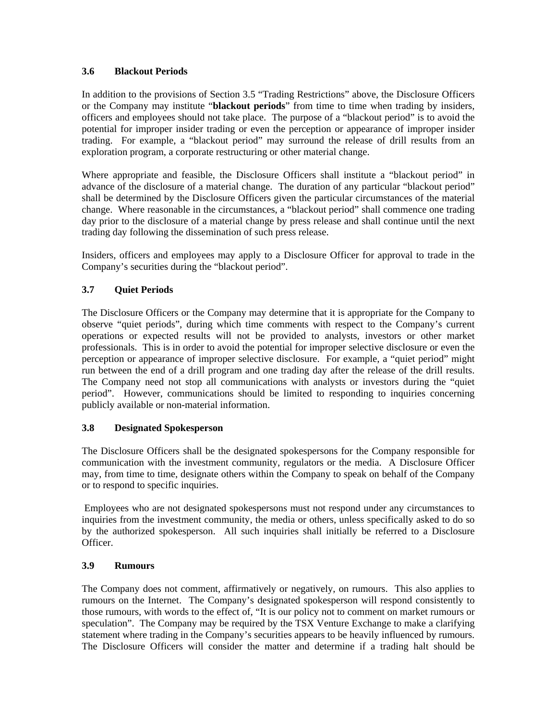## **3.6 Blackout Periods**

In addition to the provisions of Section 3.5 "Trading Restrictions" above, the Disclosure Officers or the Company may institute "**blackout periods**" from time to time when trading by insiders, officers and employees should not take place. The purpose of a "blackout period" is to avoid the potential for improper insider trading or even the perception or appearance of improper insider trading. For example, a "blackout period" may surround the release of drill results from an exploration program, a corporate restructuring or other material change.

Where appropriate and feasible, the Disclosure Officers shall institute a "blackout period" in advance of the disclosure of a material change. The duration of any particular "blackout period" shall be determined by the Disclosure Officers given the particular circumstances of the material change. Where reasonable in the circumstances, a "blackout period" shall commence one trading day prior to the disclosure of a material change by press release and shall continue until the next trading day following the dissemination of such press release.

Insiders, officers and employees may apply to a Disclosure Officer for approval to trade in the Company's securities during the "blackout period".

# **3.7 Quiet Periods**

The Disclosure Officers or the Company may determine that it is appropriate for the Company to observe "quiet periods", during which time comments with respect to the Company's current operations or expected results will not be provided to analysts, investors or other market professionals. This is in order to avoid the potential for improper selective disclosure or even the perception or appearance of improper selective disclosure. For example, a "quiet period" might run between the end of a drill program and one trading day after the release of the drill results. The Company need not stop all communications with analysts or investors during the "quiet period". However, communications should be limited to responding to inquiries concerning publicly available or non-material information.

# **3.8 Designated Spokesperson**

The Disclosure Officers shall be the designated spokespersons for the Company responsible for communication with the investment community, regulators or the media. A Disclosure Officer may, from time to time, designate others within the Company to speak on behalf of the Company or to respond to specific inquiries.

 Employees who are not designated spokespersons must not respond under any circumstances to inquiries from the investment community, the media or others, unless specifically asked to do so by the authorized spokesperson. All such inquiries shall initially be referred to a Disclosure Officer.

### **3.9 Rumours**

The Company does not comment, affirmatively or negatively, on rumours. This also applies to rumours on the Internet. The Company's designated spokesperson will respond consistently to those rumours, with words to the effect of, "It is our policy not to comment on market rumours or speculation". The Company may be required by the TSX Venture Exchange to make a clarifying statement where trading in the Company's securities appears to be heavily influenced by rumours. The Disclosure Officers will consider the matter and determine if a trading halt should be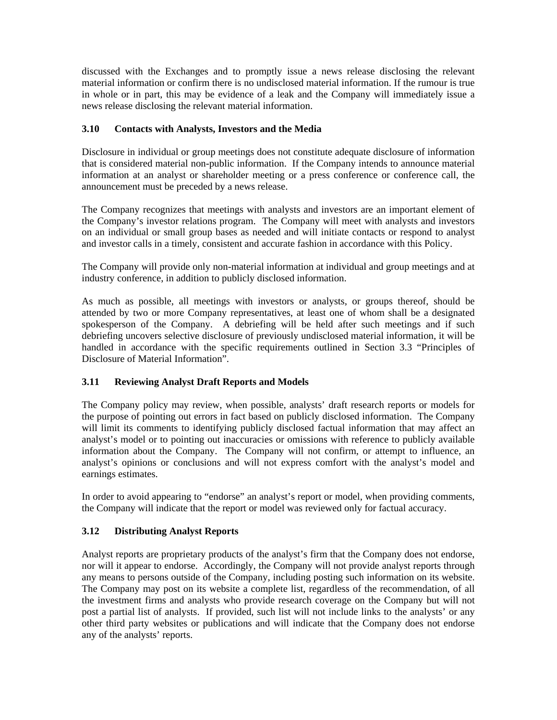discussed with the Exchanges and to promptly issue a news release disclosing the relevant material information or confirm there is no undisclosed material information. If the rumour is true in whole or in part, this may be evidence of a leak and the Company will immediately issue a news release disclosing the relevant material information.

## **3.10 Contacts with Analysts, Investors and the Media**

Disclosure in individual or group meetings does not constitute adequate disclosure of information that is considered material non-public information. If the Company intends to announce material information at an analyst or shareholder meeting or a press conference or conference call, the announcement must be preceded by a news release.

The Company recognizes that meetings with analysts and investors are an important element of the Company's investor relations program. The Company will meet with analysts and investors on an individual or small group bases as needed and will initiate contacts or respond to analyst and investor calls in a timely, consistent and accurate fashion in accordance with this Policy.

The Company will provide only non-material information at individual and group meetings and at industry conference, in addition to publicly disclosed information.

As much as possible, all meetings with investors or analysts, or groups thereof, should be attended by two or more Company representatives, at least one of whom shall be a designated spokesperson of the Company. A debriefing will be held after such meetings and if such debriefing uncovers selective disclosure of previously undisclosed material information, it will be handled in accordance with the specific requirements outlined in Section 3.3 "Principles of Disclosure of Material Information".

# **3.11 Reviewing Analyst Draft Reports and Models**

The Company policy may review, when possible, analysts' draft research reports or models for the purpose of pointing out errors in fact based on publicly disclosed information. The Company will limit its comments to identifying publicly disclosed factual information that may affect an analyst's model or to pointing out inaccuracies or omissions with reference to publicly available information about the Company. The Company will not confirm, or attempt to influence, an analyst's opinions or conclusions and will not express comfort with the analyst's model and earnings estimates.

In order to avoid appearing to "endorse" an analyst's report or model, when providing comments, the Company will indicate that the report or model was reviewed only for factual accuracy.

### **3.12 Distributing Analyst Reports**

Analyst reports are proprietary products of the analyst's firm that the Company does not endorse, nor will it appear to endorse. Accordingly, the Company will not provide analyst reports through any means to persons outside of the Company, including posting such information on its website. The Company may post on its website a complete list, regardless of the recommendation, of all the investment firms and analysts who provide research coverage on the Company but will not post a partial list of analysts. If provided, such list will not include links to the analysts' or any other third party websites or publications and will indicate that the Company does not endorse any of the analysts' reports.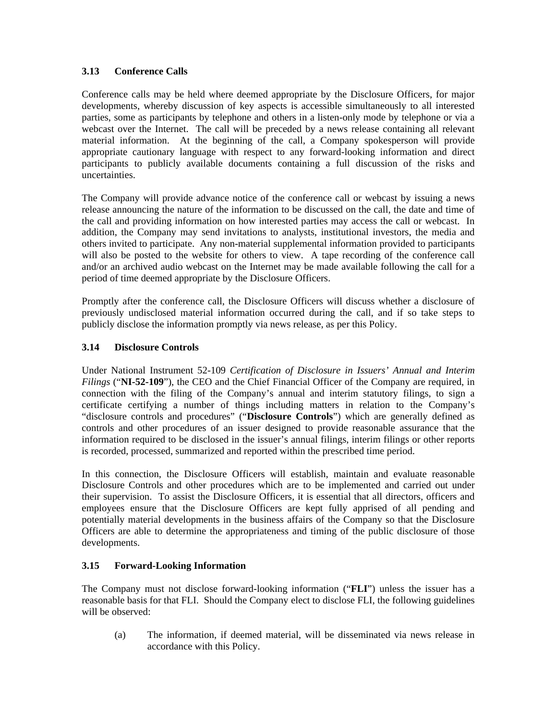# **3.13 Conference Calls**

Conference calls may be held where deemed appropriate by the Disclosure Officers, for major developments, whereby discussion of key aspects is accessible simultaneously to all interested parties, some as participants by telephone and others in a listen-only mode by telephone or via a webcast over the Internet. The call will be preceded by a news release containing all relevant material information. At the beginning of the call, a Company spokesperson will provide appropriate cautionary language with respect to any forward-looking information and direct participants to publicly available documents containing a full discussion of the risks and uncertainties.

The Company will provide advance notice of the conference call or webcast by issuing a news release announcing the nature of the information to be discussed on the call, the date and time of the call and providing information on how interested parties may access the call or webcast. In addition, the Company may send invitations to analysts, institutional investors, the media and others invited to participate. Any non-material supplemental information provided to participants will also be posted to the website for others to view. A tape recording of the conference call and/or an archived audio webcast on the Internet may be made available following the call for a period of time deemed appropriate by the Disclosure Officers.

Promptly after the conference call, the Disclosure Officers will discuss whether a disclosure of previously undisclosed material information occurred during the call, and if so take steps to publicly disclose the information promptly via news release, as per this Policy.

## **3.14 Disclosure Controls**

Under National Instrument 52-109 *Certification of Disclosure in Issuers' Annual and Interim Filings* ("**NI-52-109**"), the CEO and the Chief Financial Officer of the Company are required, in connection with the filing of the Company's annual and interim statutory filings, to sign a certificate certifying a number of things including matters in relation to the Company's "disclosure controls and procedures" ("**Disclosure Controls**") which are generally defined as controls and other procedures of an issuer designed to provide reasonable assurance that the information required to be disclosed in the issuer's annual filings, interim filings or other reports is recorded, processed, summarized and reported within the prescribed time period.

In this connection, the Disclosure Officers will establish, maintain and evaluate reasonable Disclosure Controls and other procedures which are to be implemented and carried out under their supervision. To assist the Disclosure Officers, it is essential that all directors, officers and employees ensure that the Disclosure Officers are kept fully apprised of all pending and potentially material developments in the business affairs of the Company so that the Disclosure Officers are able to determine the appropriateness and timing of the public disclosure of those developments.

# **3.15 Forward-Looking Information**

The Company must not disclose forward-looking information ("**FLI**") unless the issuer has a reasonable basis for that FLI. Should the Company elect to disclose FLI, the following guidelines will be observed:

(a) The information, if deemed material, will be disseminated via news release in accordance with this Policy.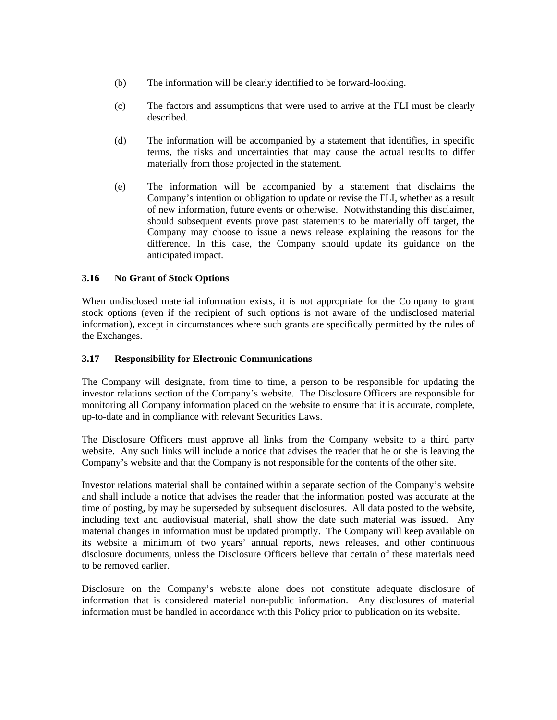- (b) The information will be clearly identified to be forward-looking.
- (c) The factors and assumptions that were used to arrive at the FLI must be clearly described.
- (d) The information will be accompanied by a statement that identifies, in specific terms, the risks and uncertainties that may cause the actual results to differ materially from those projected in the statement.
- (e) The information will be accompanied by a statement that disclaims the Company's intention or obligation to update or revise the FLI, whether as a result of new information, future events or otherwise. Notwithstanding this disclaimer, should subsequent events prove past statements to be materially off target, the Company may choose to issue a news release explaining the reasons for the difference. In this case, the Company should update its guidance on the anticipated impact.

# **3.16 No Grant of Stock Options**

When undisclosed material information exists, it is not appropriate for the Company to grant stock options (even if the recipient of such options is not aware of the undisclosed material information), except in circumstances where such grants are specifically permitted by the rules of the Exchanges.

#### **3.17 Responsibility for Electronic Communications**

The Company will designate, from time to time, a person to be responsible for updating the investor relations section of the Company's website. The Disclosure Officers are responsible for monitoring all Company information placed on the website to ensure that it is accurate, complete, up-to-date and in compliance with relevant Securities Laws.

The Disclosure Officers must approve all links from the Company website to a third party website. Any such links will include a notice that advises the reader that he or she is leaving the Company's website and that the Company is not responsible for the contents of the other site.

Investor relations material shall be contained within a separate section of the Company's website and shall include a notice that advises the reader that the information posted was accurate at the time of posting, by may be superseded by subsequent disclosures. All data posted to the website, including text and audiovisual material, shall show the date such material was issued. Any material changes in information must be updated promptly. The Company will keep available on its website a minimum of two years' annual reports, news releases, and other continuous disclosure documents, unless the Disclosure Officers believe that certain of these materials need to be removed earlier.

Disclosure on the Company's website alone does not constitute adequate disclosure of information that is considered material non-public information. Any disclosures of material information must be handled in accordance with this Policy prior to publication on its website.